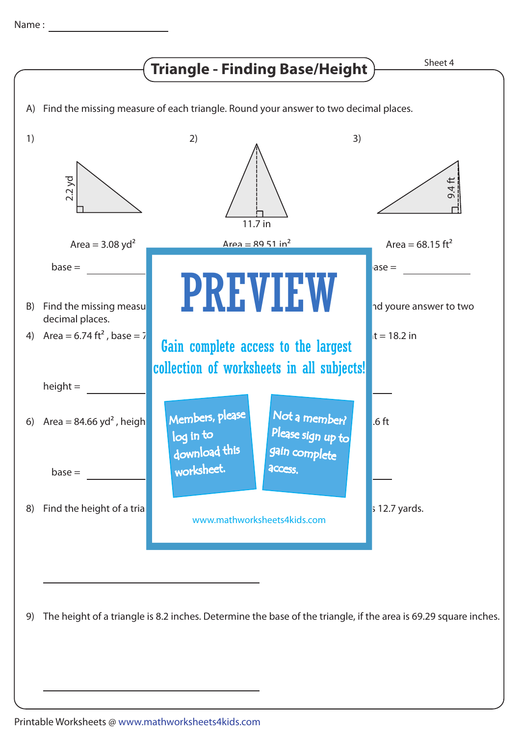